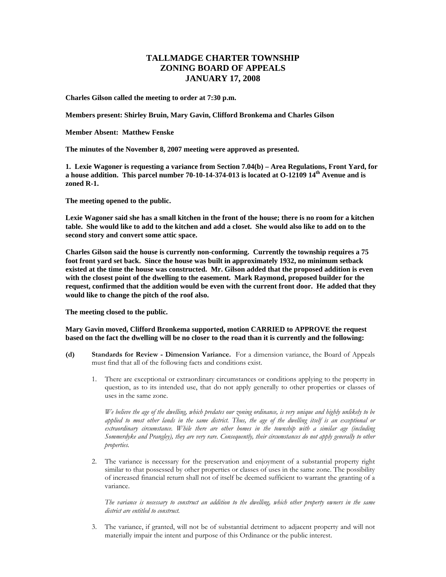## **TALLMADGE CHARTER TOWNSHIP ZONING BOARD OF APPEALS JANUARY 17, 2008**

**Charles Gilson called the meeting to order at 7:30 p.m.** 

**Members present: Shirley Bruin, Mary Gavin, Clifford Bronkema and Charles Gilson** 

**Member Absent: Matthew Fenske** 

**The minutes of the November 8, 2007 meeting were approved as presented.** 

**1. Lexie Wagoner is requesting a variance from Section 7.04(b) – Area Regulations, Front Yard, for a house addition. This parcel number 70-10-14-374-013 is located at O-12109 14th Avenue and is zoned R-1.** 

**The meeting opened to the public.** 

**Lexie Wagoner said she has a small kitchen in the front of the house; there is no room for a kitchen table. She would like to add to the kitchen and add a closet. She would also like to add on to the second story and convert some attic space.** 

**Charles Gilson said the house is currently non-conforming. Currently the township requires a 75 foot front yard set back. Since the house was built in approximately 1932, no minimum setback existed at the time the house was constructed. Mr. Gilson added that the proposed addition is even with the closest point of the dwelling to the easement. Mark Raymond, proposed builder for the request, confirmed that the addition would be even with the current front door. He added that they would like to change the pitch of the roof also.** 

**The meeting closed to the public.** 

**Mary Gavin moved, Clifford Bronkema supported, motion CARRIED to APPROVE the request based on the fact the dwelling will be no closer to the road than it is currently and the following:** 

- **(d) Standards for Review Dimension Variance.** For a dimension variance, the Board of Appeals must find that all of the following facts and conditions exist.
	- 1. There are exceptional or extraordinary circumstances or conditions applying to the property in question, as to its intended use, that do not apply generally to other properties or classes of uses in the same zone.

 *We believe the age of the dwelling, which predates our zoning ordinance, is very unique and highly unlikely to be applied to most other lands in the same district. Thus, the age of the dwelling itself is an exceptional or extraordinary circumstance. While there are other homes in the township with a similar age (including Sommerdyke and Prangley), they are very rare. Consequently, their circumstances do not apply generally to other properties.* 

 2. The variance is necessary for the preservation and enjoyment of a substantial property right similar to that possessed by other properties or classes of uses in the same zone. The possibility of increased financial return shall not of itself be deemed sufficient to warrant the granting of a variance.

 *The variance is necessary to construct an addition to the dwelling, which other property owners in the same district are entitled to construct.* 

3. The variance, if granted, will not be of substantial detriment to adjacent property and will not materially impair the intent and purpose of this Ordinance or the public interest.